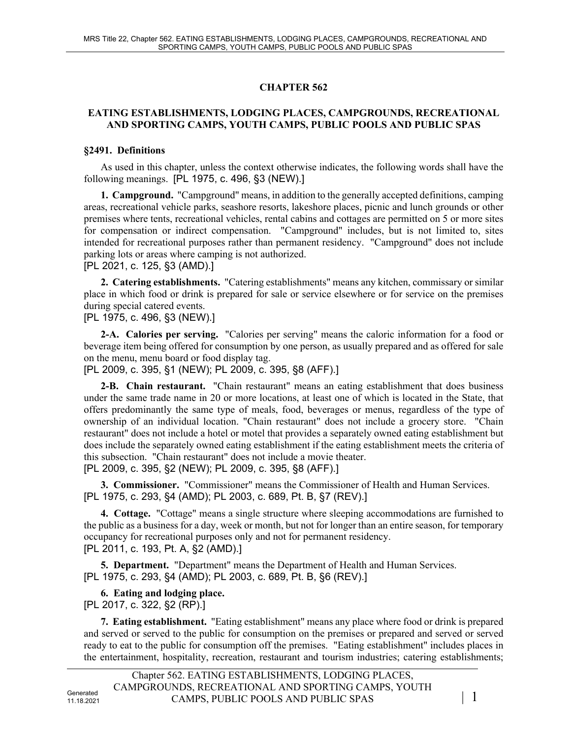# **CHAPTER 562**

#### **EATING ESTABLISHMENTS, LODGING PLACES, CAMPGROUNDS, RECREATIONAL AND SPORTING CAMPS, YOUTH CAMPS, PUBLIC POOLS AND PUBLIC SPAS**

#### **§2491. Definitions**

As used in this chapter, unless the context otherwise indicates, the following words shall have the following meanings. [PL 1975, c. 496, §3 (NEW).]

**1. Campground.** "Campground" means, in addition to the generally accepted definitions, camping areas, recreational vehicle parks, seashore resorts, lakeshore places, picnic and lunch grounds or other premises where tents, recreational vehicles, rental cabins and cottages are permitted on 5 or more sites for compensation or indirect compensation. "Campground" includes, but is not limited to, sites intended for recreational purposes rather than permanent residency. "Campground" does not include parking lots or areas where camping is not authorized.

[PL 2021, c. 125, §3 (AMD).]

**2. Catering establishments.** "Catering establishments" means any kitchen, commissary or similar place in which food or drink is prepared for sale or service elsewhere or for service on the premises during special catered events.

[PL 1975, c. 496, §3 (NEW).]

**2-A. Calories per serving.** "Calories per serving" means the caloric information for a food or beverage item being offered for consumption by one person, as usually prepared and as offered for sale on the menu, menu board or food display tag.

[PL 2009, c. 395, §1 (NEW); PL 2009, c. 395, §8 (AFF).]

**2-B. Chain restaurant.** "Chain restaurant" means an eating establishment that does business under the same trade name in 20 or more locations, at least one of which is located in the State, that offers predominantly the same type of meals, food, beverages or menus, regardless of the type of ownership of an individual location. "Chain restaurant" does not include a grocery store. "Chain restaurant" does not include a hotel or motel that provides a separately owned eating establishment but does include the separately owned eating establishment if the eating establishment meets the criteria of this subsection. "Chain restaurant" does not include a movie theater. [PL 2009, c. 395, §2 (NEW); PL 2009, c. 395, §8 (AFF).]

**3. Commissioner.** "Commissioner" means the Commissioner of Health and Human Services. [PL 1975, c. 293, §4 (AMD); PL 2003, c. 689, Pt. B, §7 (REV).]

**4. Cottage.** "Cottage" means a single structure where sleeping accommodations are furnished to the public as a business for a day, week or month, but not for longer than an entire season, for temporary occupancy for recreational purposes only and not for permanent residency. [PL 2011, c. 193, Pt. A, §2 (AMD).]

**5. Department.** "Department" means the Department of Health and Human Services. [PL 1975, c. 293, §4 (AMD); PL 2003, c. 689, Pt. B, §6 (REV).]

**6. Eating and lodging place.** 

[PL 2017, c. 322, §2 (RP).]

**7. Eating establishment.** "Eating establishment" means any place where food or drink is prepared and served or served to the public for consumption on the premises or prepared and served or served ready to eat to the public for consumption off the premises. "Eating establishment" includes places in the entertainment, hospitality, recreation, restaurant and tourism industries; catering establishments;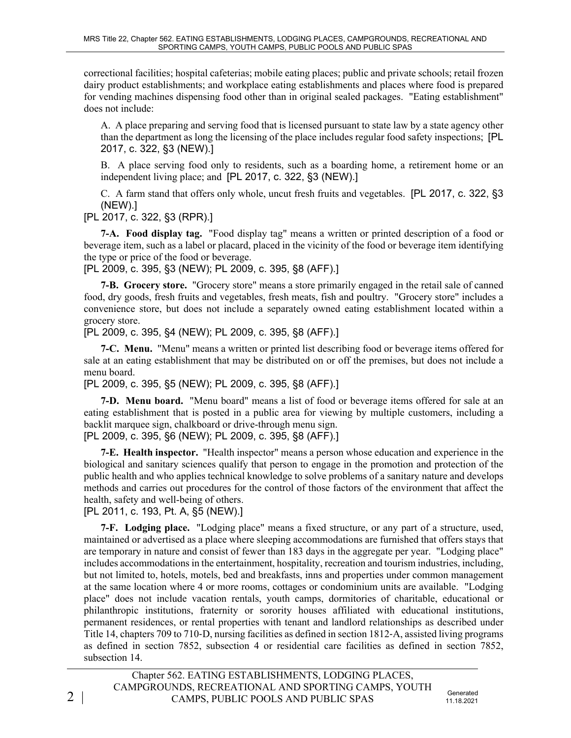correctional facilities; hospital cafeterias; mobile eating places; public and private schools; retail frozen dairy product establishments; and workplace eating establishments and places where food is prepared for vending machines dispensing food other than in original sealed packages. "Eating establishment" does not include:

A. A place preparing and serving food that is licensed pursuant to state law by a state agency other than the department as long the licensing of the place includes regular food safety inspections; [PL 2017, c. 322, §3 (NEW).]

B. A place serving food only to residents, such as a boarding home, a retirement home or an independent living place; and [PL 2017, c. 322, §3 (NEW).]

C. A farm stand that offers only whole, uncut fresh fruits and vegetables. [PL 2017, c. 322, §3 (NEW).]

[PL 2017, c. 322, §3 (RPR).]

**7-A. Food display tag.** "Food display tag" means a written or printed description of a food or beverage item, such as a label or placard, placed in the vicinity of the food or beverage item identifying the type or price of the food or beverage.

[PL 2009, c. 395, §3 (NEW); PL 2009, c. 395, §8 (AFF).]

**7-B. Grocery store.** "Grocery store" means a store primarily engaged in the retail sale of canned food, dry goods, fresh fruits and vegetables, fresh meats, fish and poultry. "Grocery store" includes a convenience store, but does not include a separately owned eating establishment located within a grocery store.

[PL 2009, c. 395, §4 (NEW); PL 2009, c. 395, §8 (AFF).]

**7-C. Menu.** "Menu" means a written or printed list describing food or beverage items offered for sale at an eating establishment that may be distributed on or off the premises, but does not include a menu board.

[PL 2009, c. 395, §5 (NEW); PL 2009, c. 395, §8 (AFF).]

**7-D. Menu board.** "Menu board" means a list of food or beverage items offered for sale at an eating establishment that is posted in a public area for viewing by multiple customers, including a backlit marquee sign, chalkboard or drive-through menu sign.

[PL 2009, c. 395, §6 (NEW); PL 2009, c. 395, §8 (AFF).]

**7-E. Health inspector.** "Health inspector" means a person whose education and experience in the biological and sanitary sciences qualify that person to engage in the promotion and protection of the public health and who applies technical knowledge to solve problems of a sanitary nature and develops methods and carries out procedures for the control of those factors of the environment that affect the health, safety and well-being of others.

[PL 2011, c. 193, Pt. A, §5 (NEW).]

**7-F. Lodging place.** "Lodging place" means a fixed structure, or any part of a structure, used, maintained or advertised as a place where sleeping accommodations are furnished that offers stays that are temporary in nature and consist of fewer than 183 days in the aggregate per year. "Lodging place" includes accommodations in the entertainment, hospitality, recreation and tourism industries, including, but not limited to, hotels, motels, bed and breakfasts, inns and properties under common management at the same location where 4 or more rooms, cottages or condominium units are available. "Lodging place" does not include vacation rentals, youth camps, dormitories of charitable, educational or philanthropic institutions, fraternity or sorority houses affiliated with educational institutions, permanent residences, or rental properties with tenant and landlord relationships as described under Title 14, chapters 709 to 710‑D, nursing facilities as defined in section 1812‑A, assisted living programs as defined in section 7852, subsection 4 or residential care facilities as defined in section 7852, subsection 14.

11.18.2021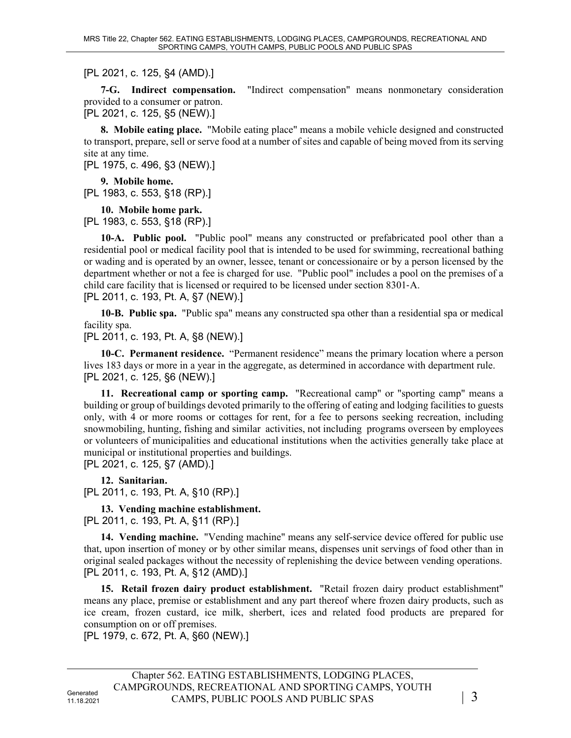[PL 2021, c. 125, §4 (AMD).]

**7-G. Indirect compensation.** "Indirect compensation" means nonmonetary consideration provided to a consumer or patron.

[PL 2021, c. 125, §5 (NEW).]

**8. Mobile eating place.** "Mobile eating place" means a mobile vehicle designed and constructed to transport, prepare, sell or serve food at a number of sites and capable of being moved from its serving site at any time.

[PL 1975, c. 496, §3 (NEW).]

**9. Mobile home.**  [PL 1983, c. 553, §18 (RP).]

**10. Mobile home park.**  [PL 1983, c. 553, §18 (RP).]

**10-A. Public pool.** "Public pool" means any constructed or prefabricated pool other than a residential pool or medical facility pool that is intended to be used for swimming, recreational bathing or wading and is operated by an owner, lessee, tenant or concessionaire or by a person licensed by the department whether or not a fee is charged for use. "Public pool" includes a pool on the premises of a child care facility that is licensed or required to be licensed under section 8301‑A. [PL 2011, c. 193, Pt. A, §7 (NEW).]

**10-B. Public spa.** "Public spa" means any constructed spa other than a residential spa or medical facility spa.

[PL 2011, c. 193, Pt. A, §8 (NEW).]

**10-C. Permanent residence.** "Permanent residence" means the primary location where a person lives 183 days or more in a year in the aggregate, as determined in accordance with department rule. [PL 2021, c. 125, §6 (NEW).]

**11. Recreational camp or sporting camp.** "Recreational camp" or "sporting camp" means a building or group of buildings devoted primarily to the offering of eating and lodging facilities to guests only, with 4 or more rooms or cottages for rent, for a fee to persons seeking recreation, including snowmobiling, hunting, fishing and similar activities, not including programs overseen by employees or volunteers of municipalities and educational institutions when the activities generally take place at municipal or institutional properties and buildings.

[PL 2021, c. 125, §7 (AMD).]

**12. Sanitarian.**  [PL 2011, c. 193, Pt. A, §10 (RP).]

**13. Vending machine establishment.** 

[PL 2011, c. 193, Pt. A, §11 (RP).]

**14. Vending machine.** "Vending machine" means any self-service device offered for public use that, upon insertion of money or by other similar means, dispenses unit servings of food other than in original sealed packages without the necessity of replenishing the device between vending operations. [PL 2011, c. 193, Pt. A, §12 (AMD).]

**15. Retail frozen dairy product establishment.** "Retail frozen dairy product establishment" means any place, premise or establishment and any part thereof where frozen dairy products, such as ice cream, frozen custard, ice milk, sherbert, ices and related food products are prepared for consumption on or off premises.

[PL 1979, c. 672, Pt. A, §60 (NEW).]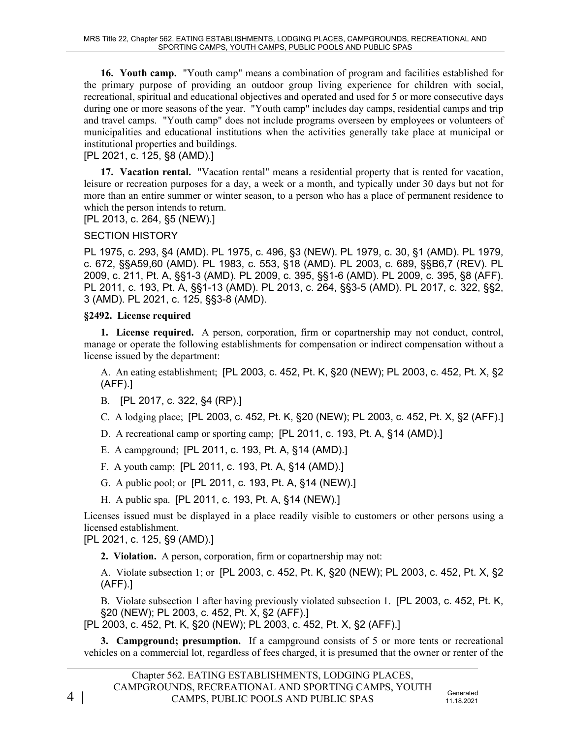**16. Youth camp.** "Youth camp" means a combination of program and facilities established for the primary purpose of providing an outdoor group living experience for children with social, recreational, spiritual and educational objectives and operated and used for 5 or more consecutive days during one or more seasons of the year. "Youth camp" includes day camps, residential camps and trip and travel camps. "Youth camp" does not include programs overseen by employees or volunteers of municipalities and educational institutions when the activities generally take place at municipal or institutional properties and buildings.

## [PL 2021, c. 125, §8 (AMD).]

**17. Vacation rental.** "Vacation rental" means a residential property that is rented for vacation, leisure or recreation purposes for a day, a week or a month, and typically under 30 days but not for more than an entire summer or winter season, to a person who has a place of permanent residence to which the person intends to return.

[PL 2013, c. 264, §5 (NEW).]

### SECTION HISTORY

PL 1975, c. 293, §4 (AMD). PL 1975, c. 496, §3 (NEW). PL 1979, c. 30, §1 (AMD). PL 1979, c. 672, §§A59,60 (AMD). PL 1983, c. 553, §18 (AMD). PL 2003, c. 689, §§B6,7 (REV). PL 2009, c. 211, Pt. A, §§1-3 (AMD). PL 2009, c. 395, §§1-6 (AMD). PL 2009, c. 395, §8 (AFF). PL 2011, c. 193, Pt. A, §§1-13 (AMD). PL 2013, c. 264, §§3-5 (AMD). PL 2017, c. 322, §§2, 3 (AMD). PL 2021, c. 125, §§3-8 (AMD).

### **§2492. License required**

**1. License required.** A person, corporation, firm or copartnership may not conduct, control, manage or operate the following establishments for compensation or indirect compensation without a license issued by the department:

A. An eating establishment; [PL 2003, c. 452, Pt. K, §20 (NEW); PL 2003, c. 452, Pt. X, §2 (AFF).]

- B. [PL 2017, c. 322, §4 (RP).]
- C. A lodging place; [PL 2003, c. 452, Pt. K, §20 (NEW); PL 2003, c. 452, Pt. X, §2 (AFF).]
- D. A recreational camp or sporting camp; [PL 2011, c. 193, Pt. A, §14 (AMD).]
- E. A campground; [PL 2011, c. 193, Pt. A, §14 (AMD).]
- F. A youth camp; [PL 2011, c. 193, Pt. A, §14 (AMD).]
- G. A public pool; or [PL 2011, c. 193, Pt. A, §14 (NEW).]
- H. A public spa. [PL 2011, c. 193, Pt. A, §14 (NEW).]

Licenses issued must be displayed in a place readily visible to customers or other persons using a licensed establishment.

[PL 2021, c. 125, §9 (AMD).]

**2. Violation.** A person, corporation, firm or copartnership may not:

A. Violate subsection 1; or [PL 2003, c. 452, Pt. K, §20 (NEW); PL 2003, c. 452, Pt. X, §2 (AFF).]

B. Violate subsection 1 after having previously violated subsection 1. [PL 2003, c. 452, Pt. K, §20 (NEW); PL 2003, c. 452, Pt. X, §2 (AFF).]

[PL 2003, c. 452, Pt. K, §20 (NEW); PL 2003, c. 452, Pt. X, §2 (AFF).]

**3. Campground; presumption.** If a campground consists of 5 or more tents or recreational vehicles on a commercial lot, regardless of fees charged, it is presumed that the owner or renter of the

11.18.2021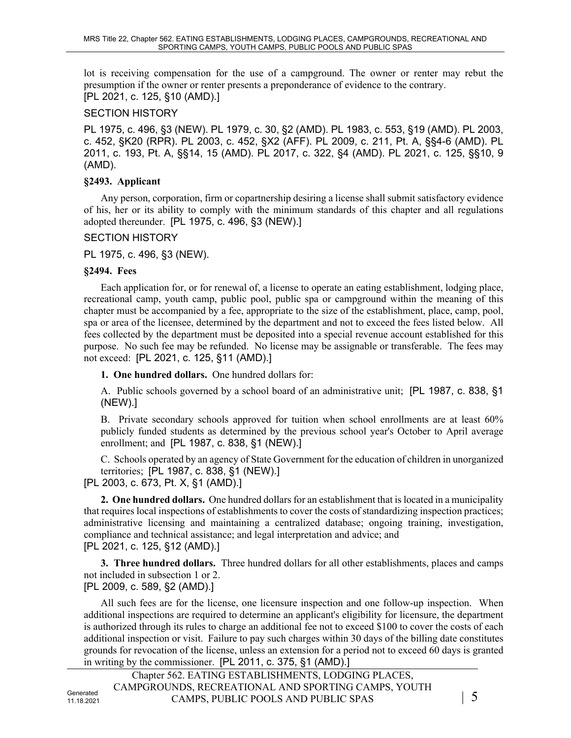lot is receiving compensation for the use of a campground. The owner or renter may rebut the presumption if the owner or renter presents a preponderance of evidence to the contrary. [PL 2021, c. 125, §10 (AMD).]

#### SECTION HISTORY

PL 1975, c. 496, §3 (NEW). PL 1979, c. 30, §2 (AMD). PL 1983, c. 553, §19 (AMD). PL 2003, c. 452, §K20 (RPR). PL 2003, c. 452, §X2 (AFF). PL 2009, c. 211, Pt. A, §§4-6 (AMD). PL 2011, c. 193, Pt. A, §§14, 15 (AMD). PL 2017, c. 322, §4 (AMD). PL 2021, c. 125, §§10, 9 (AMD).

## **§2493. Applicant**

Any person, corporation, firm or copartnership desiring a license shall submit satisfactory evidence of his, her or its ability to comply with the minimum standards of this chapter and all regulations adopted thereunder. [PL 1975, c. 496, §3 (NEW).]

## SECTION HISTORY

PL 1975, c. 496, §3 (NEW).

## **§2494. Fees**

Each application for, or for renewal of, a license to operate an eating establishment, lodging place, recreational camp, youth camp, public pool, public spa or campground within the meaning of this chapter must be accompanied by a fee, appropriate to the size of the establishment, place, camp, pool, spa or area of the licensee, determined by the department and not to exceed the fees listed below. All fees collected by the department must be deposited into a special revenue account established for this purpose. No such fee may be refunded. No license may be assignable or transferable. The fees may not exceed: [PL 2021, c. 125, §11 (AMD).]

**1. One hundred dollars.** One hundred dollars for:

A. Public schools governed by a school board of an administrative unit; [PL 1987, c. 838, §1 (NEW).]

B. Private secondary schools approved for tuition when school enrollments are at least 60% publicly funded students as determined by the previous school year's October to April average enrollment; and [PL 1987, c. 838, §1 (NEW).]

C. Schools operated by an agency of State Government for the education of children in unorganized territories; [PL 1987, c. 838, §1 (NEW).]

[PL 2003, c. 673, Pt. X, §1 (AMD).]

**2. One hundred dollars.** One hundred dollars for an establishment that is located in a municipality that requires local inspections of establishments to cover the costs of standardizing inspection practices; administrative licensing and maintaining a centralized database; ongoing training, investigation, compliance and technical assistance; and legal interpretation and advice; and [PL 2021, c. 125, §12 (AMD).]

**3. Three hundred dollars.** Three hundred dollars for all other establishments, places and camps not included in subsection 1 or 2.

[PL 2009, c. 589, §2 (AMD).]

All such fees are for the license, one licensure inspection and one follow-up inspection. When additional inspections are required to determine an applicant's eligibility for licensure, the department is authorized through its rules to charge an additional fee not to exceed \$100 to cover the costs of each additional inspection or visit. Failure to pay such charges within 30 days of the billing date constitutes grounds for revocation of the license, unless an extension for a period not to exceed 60 days is granted in writing by the commissioner. [PL 2011, c. 375, §1 (AMD).]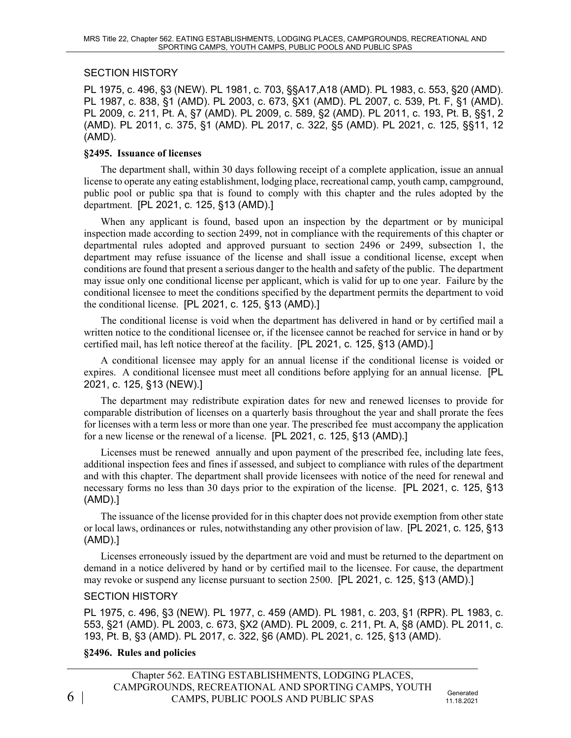#### SECTION HISTORY

PL 1975, c. 496, §3 (NEW). PL 1981, c. 703, §§A17,A18 (AMD). PL 1983, c. 553, §20 (AMD). PL 1987, c. 838, §1 (AMD). PL 2003, c. 673, §X1 (AMD). PL 2007, c. 539, Pt. F, §1 (AMD). PL 2009, c. 211, Pt. A, §7 (AMD). PL 2009, c. 589, §2 (AMD). PL 2011, c. 193, Pt. B, §§1, 2 (AMD). PL 2011, c. 375, §1 (AMD). PL 2017, c. 322, §5 (AMD). PL 2021, c. 125, §§11, 12 (AMD).

#### **§2495. Issuance of licenses**

The department shall, within 30 days following receipt of a complete application, issue an annual license to operate any eating establishment, lodging place, recreational camp, youth camp, campground, public pool or public spa that is found to comply with this chapter and the rules adopted by the department. [PL 2021, c. 125, §13 (AMD).]

When any applicant is found, based upon an inspection by the department or by municipal inspection made according to section 2499, not in compliance with the requirements of this chapter or departmental rules adopted and approved pursuant to section 2496 or 2499, subsection 1, the department may refuse issuance of the license and shall issue a conditional license, except when conditions are found that present a serious danger to the health and safety of the public. The department may issue only one conditional license per applicant, which is valid for up to one year. Failure by the conditional licensee to meet the conditions specified by the department permits the department to void the conditional license. [PL 2021, c. 125, §13 (AMD).]

The conditional license is void when the department has delivered in hand or by certified mail a written notice to the conditional licensee or, if the licensee cannot be reached for service in hand or by certified mail, has left notice thereof at the facility. [PL 2021, c. 125, §13 (AMD).]

A conditional licensee may apply for an annual license if the conditional license is voided or expires. A conditional licensee must meet all conditions before applying for an annual license. [PL 2021, c. 125, §13 (NEW).]

The department may redistribute expiration dates for new and renewed licenses to provide for comparable distribution of licenses on a quarterly basis throughout the year and shall prorate the fees for licenses with a term less or more than one year. The prescribed fee must accompany the application for a new license or the renewal of a license. [PL 2021, c. 125, §13 (AMD).]

Licenses must be renewed annually and upon payment of the prescribed fee, including late fees, additional inspection fees and fines if assessed, and subject to compliance with rules of the department and with this chapter. The department shall provide licensees with notice of the need for renewal and necessary forms no less than 30 days prior to the expiration of the license. [PL 2021, c. 125, §13 (AMD).]

The issuance of the license provided for in this chapter does not provide exemption from other state or local laws, ordinances or rules, notwithstanding any other provision of law. [PL 2021, c. 125, §13 (AMD).]

Licenses erroneously issued by the department are void and must be returned to the department on demand in a notice delivered by hand or by certified mail to the licensee. For cause, the department may revoke or suspend any license pursuant to section 2500. [PL 2021, c. 125, §13 (AMD).]

#### SECTION HISTORY

PL 1975, c. 496, §3 (NEW). PL 1977, c. 459 (AMD). PL 1981, c. 203, §1 (RPR). PL 1983, c. 553, §21 (AMD). PL 2003, c. 673, §X2 (AMD). PL 2009, c. 211, Pt. A, §8 (AMD). PL 2011, c. 193, Pt. B, §3 (AMD). PL 2017, c. 322, §6 (AMD). PL 2021, c. 125, §13 (AMD).

#### **§2496. Rules and policies**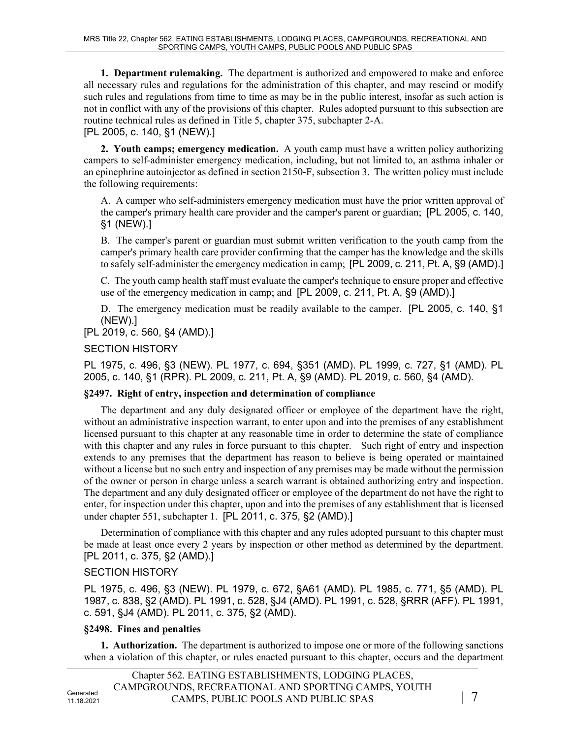**1. Department rulemaking.** The department is authorized and empowered to make and enforce all necessary rules and regulations for the administration of this chapter, and may rescind or modify such rules and regulations from time to time as may be in the public interest, insofar as such action is not in conflict with any of the provisions of this chapter. Rules adopted pursuant to this subsection are routine technical rules as defined in Title 5, chapter 375, subchapter 2-A. [PL 2005, c. 140, §1 (NEW).]

**2. Youth camps; emergency medication.** A youth camp must have a written policy authorizing campers to self-administer emergency medication, including, but not limited to, an asthma inhaler or an epinephrine autoinjector as defined in section 2150‑F, subsection 3. The written policy must include the following requirements:

A. A camper who self-administers emergency medication must have the prior written approval of the camper's primary health care provider and the camper's parent or guardian; [PL 2005, c. 140, §1 (NEW).]

B. The camper's parent or guardian must submit written verification to the youth camp from the camper's primary health care provider confirming that the camper has the knowledge and the skills to safely self-administer the emergency medication in camp; [PL 2009, c. 211, Pt. A, §9 (AMD).]

C. The youth camp health staff must evaluate the camper's technique to ensure proper and effective use of the emergency medication in camp; and [PL 2009, c. 211, Pt. A, §9 (AMD).]

D. The emergency medication must be readily available to the camper. [PL 2005, c. 140, §1 (NEW).]

[PL 2019, c. 560, §4 (AMD).]

SECTION HISTORY

PL 1975, c. 496, §3 (NEW). PL 1977, c. 694, §351 (AMD). PL 1999, c. 727, §1 (AMD). PL 2005, c. 140, §1 (RPR). PL 2009, c. 211, Pt. A, §9 (AMD). PL 2019, c. 560, §4 (AMD).

#### **§2497. Right of entry, inspection and determination of compliance**

The department and any duly designated officer or employee of the department have the right, without an administrative inspection warrant, to enter upon and into the premises of any establishment licensed pursuant to this chapter at any reasonable time in order to determine the state of compliance with this chapter and any rules in force pursuant to this chapter. Such right of entry and inspection extends to any premises that the department has reason to believe is being operated or maintained without a license but no such entry and inspection of any premises may be made without the permission of the owner or person in charge unless a search warrant is obtained authorizing entry and inspection. The department and any duly designated officer or employee of the department do not have the right to enter, for inspection under this chapter, upon and into the premises of any establishment that is licensed under chapter 551, subchapter 1. [PL 2011, c. 375, §2 (AMD).]

Determination of compliance with this chapter and any rules adopted pursuant to this chapter must be made at least once every 2 years by inspection or other method as determined by the department. [PL 2011, c. 375, §2 (AMD).]

#### SECTION HISTORY

PL 1975, c. 496, §3 (NEW). PL 1979, c. 672, §A61 (AMD). PL 1985, c. 771, §5 (AMD). PL 1987, c. 838, §2 (AMD). PL 1991, c. 528, §J4 (AMD). PL 1991, c. 528, §RRR (AFF). PL 1991, c. 591, §J4 (AMD). PL 2011, c. 375, §2 (AMD).

#### **§2498. Fines and penalties**

**1. Authorization.** The department is authorized to impose one or more of the following sanctions when a violation of this chapter, or rules enacted pursuant to this chapter, occurs and the department

|                         | Chapter 562. EATING ESTABLISHMENTS, LODGING PLACES, |                |
|-------------------------|-----------------------------------------------------|----------------|
| Generated<br>11.18.2021 | CAMPGROUNDS, RECREATIONAL AND SPORTING CAMPS, YOUTH |                |
|                         | CAMPS, PUBLIC POOLS AND PUBLIC SPAS                 | $\overline{7}$ |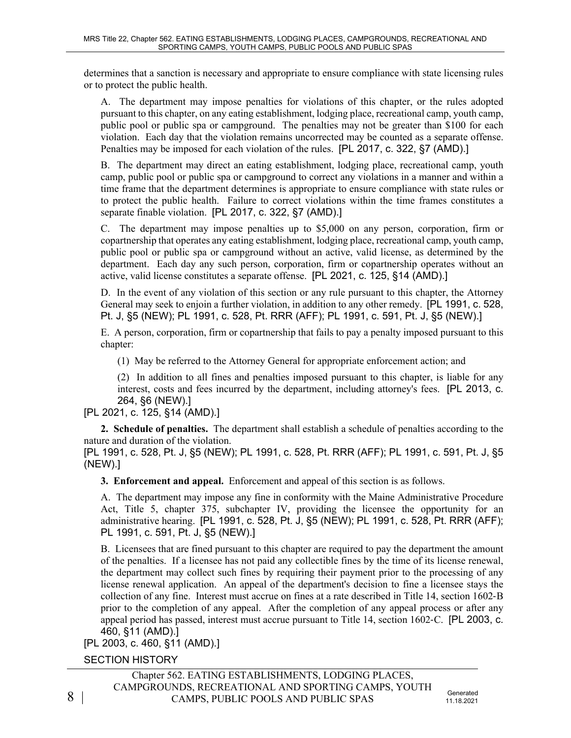determines that a sanction is necessary and appropriate to ensure compliance with state licensing rules or to protect the public health.

A. The department may impose penalties for violations of this chapter, or the rules adopted pursuant to this chapter, on any eating establishment, lodging place, recreational camp, youth camp, public pool or public spa or campground. The penalties may not be greater than \$100 for each violation. Each day that the violation remains uncorrected may be counted as a separate offense. Penalties may be imposed for each violation of the rules. [PL 2017, c. 322, §7 (AMD).]

B. The department may direct an eating establishment, lodging place, recreational camp, youth camp, public pool or public spa or campground to correct any violations in a manner and within a time frame that the department determines is appropriate to ensure compliance with state rules or to protect the public health. Failure to correct violations within the time frames constitutes a separate finable violation. [PL 2017, c. 322, §7 (AMD).]

C. The department may impose penalties up to \$5,000 on any person, corporation, firm or copartnership that operates any eating establishment, lodging place, recreational camp, youth camp, public pool or public spa or campground without an active, valid license, as determined by the department. Each day any such person, corporation, firm or copartnership operates without an active, valid license constitutes a separate offense. [PL 2021, c. 125, §14 (AMD).]

D. In the event of any violation of this section or any rule pursuant to this chapter, the Attorney General may seek to enjoin a further violation, in addition to any other remedy. [PL 1991, c. 528, Pt. J, §5 (NEW); PL 1991, c. 528, Pt. RRR (AFF); PL 1991, c. 591, Pt. J, §5 (NEW).]

E. A person, corporation, firm or copartnership that fails to pay a penalty imposed pursuant to this chapter:

(1) May be referred to the Attorney General for appropriate enforcement action; and

(2) In addition to all fines and penalties imposed pursuant to this chapter, is liable for any interest, costs and fees incurred by the department, including attorney's fees. [PL 2013, c. 264, §6 (NEW).]

[PL 2021, c. 125, §14 (AMD).]

**2. Schedule of penalties.** The department shall establish a schedule of penalties according to the nature and duration of the violation.

[PL 1991, c. 528, Pt. J, §5 (NEW); PL 1991, c. 528, Pt. RRR (AFF); PL 1991, c. 591, Pt. J, §5 (NEW).]

**3. Enforcement and appeal.** Enforcement and appeal of this section is as follows.

A. The department may impose any fine in conformity with the Maine Administrative Procedure Act, Title 5, chapter 375, subchapter IV, providing the licensee the opportunity for an administrative hearing. [PL 1991, c. 528, Pt. J, §5 (NEW); PL 1991, c. 528, Pt. RRR (AFF); PL 1991, c. 591, Pt. J, §5 (NEW).]

B. Licensees that are fined pursuant to this chapter are required to pay the department the amount of the penalties. If a licensee has not paid any collectible fines by the time of its license renewal, the department may collect such fines by requiring their payment prior to the processing of any license renewal application. An appeal of the department's decision to fine a licensee stays the collection of any fine. Interest must accrue on fines at a rate described in Title 14, section 1602‑B prior to the completion of any appeal. After the completion of any appeal process or after any appeal period has passed, interest must accrue pursuant to Title 14, section 1602-C. [PL 2003, c. 460, §11 (AMD).]

[PL 2003, c. 460, §11 (AMD).]

SECTION HISTORY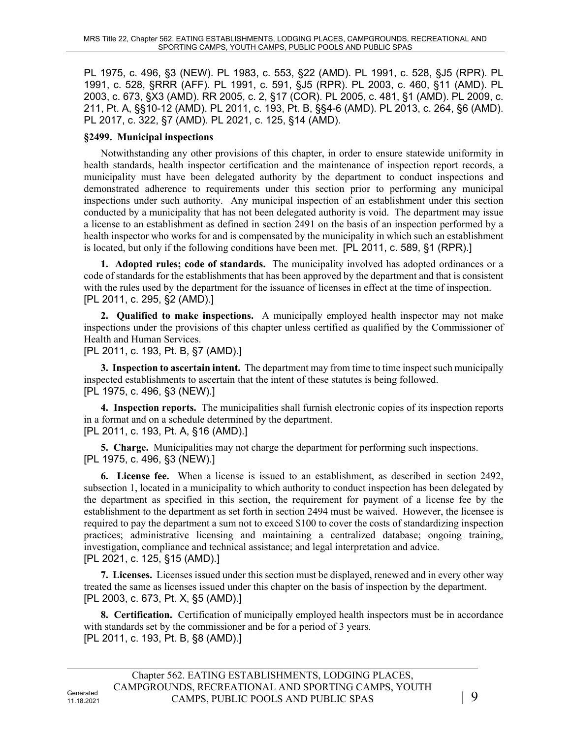PL 1975, c. 496, §3 (NEW). PL 1983, c. 553, §22 (AMD). PL 1991, c. 528, §J5 (RPR). PL 1991, c. 528, §RRR (AFF). PL 1991, c. 591, §J5 (RPR). PL 2003, c. 460, §11 (AMD). PL 2003, c. 673, §X3 (AMD). RR 2005, c. 2, §17 (COR). PL 2005, c. 481, §1 (AMD). PL 2009, c. 211, Pt. A, §§10-12 (AMD). PL 2011, c. 193, Pt. B, §§4-6 (AMD). PL 2013, c. 264, §6 (AMD). PL 2017, c. 322, §7 (AMD). PL 2021, c. 125, §14 (AMD).

#### **§2499. Municipal inspections**

Notwithstanding any other provisions of this chapter, in order to ensure statewide uniformity in health standards, health inspector certification and the maintenance of inspection report records, a municipality must have been delegated authority by the department to conduct inspections and demonstrated adherence to requirements under this section prior to performing any municipal inspections under such authority. Any municipal inspection of an establishment under this section conducted by a municipality that has not been delegated authority is void. The department may issue a license to an establishment as defined in section 2491 on the basis of an inspection performed by a health inspector who works for and is compensated by the municipality in which such an establishment is located, but only if the following conditions have been met. [PL 2011, c. 589, §1 (RPR).]

**1. Adopted rules; code of standards.** The municipality involved has adopted ordinances or a code of standards for the establishments that has been approved by the department and that is consistent with the rules used by the department for the issuance of licenses in effect at the time of inspection. [PL 2011, c. 295, §2 (AMD).]

**2. Qualified to make inspections.** A municipally employed health inspector may not make inspections under the provisions of this chapter unless certified as qualified by the Commissioner of Health and Human Services.

[PL 2011, c. 193, Pt. B, §7 (AMD).]

**3. Inspection to ascertain intent.** The department may from time to time inspect such municipally inspected establishments to ascertain that the intent of these statutes is being followed. [PL 1975, c. 496, §3 (NEW).]

**4. Inspection reports.** The municipalities shall furnish electronic copies of its inspection reports in a format and on a schedule determined by the department. [PL 2011, c. 193, Pt. A, §16 (AMD).]

**5. Charge.** Municipalities may not charge the department for performing such inspections. [PL 1975, c. 496, §3 (NEW).]

**6. License fee.** When a license is issued to an establishment, as described in section 2492, subsection 1, located in a municipality to which authority to conduct inspection has been delegated by the department as specified in this section, the requirement for payment of a license fee by the establishment to the department as set forth in section 2494 must be waived. However, the licensee is required to pay the department a sum not to exceed \$100 to cover the costs of standardizing inspection practices; administrative licensing and maintaining a centralized database; ongoing training, investigation, compliance and technical assistance; and legal interpretation and advice. [PL 2021, c. 125, §15 (AMD).]

**7. Licenses.** Licenses issued under this section must be displayed, renewed and in every other way treated the same as licenses issued under this chapter on the basis of inspection by the department. [PL 2003, c. 673, Pt. X, §5 (AMD).]

**8. Certification.** Certification of municipally employed health inspectors must be in accordance with standards set by the commissioner and be for a period of 3 years. [PL 2011, c. 193, Pt. B, §8 (AMD).]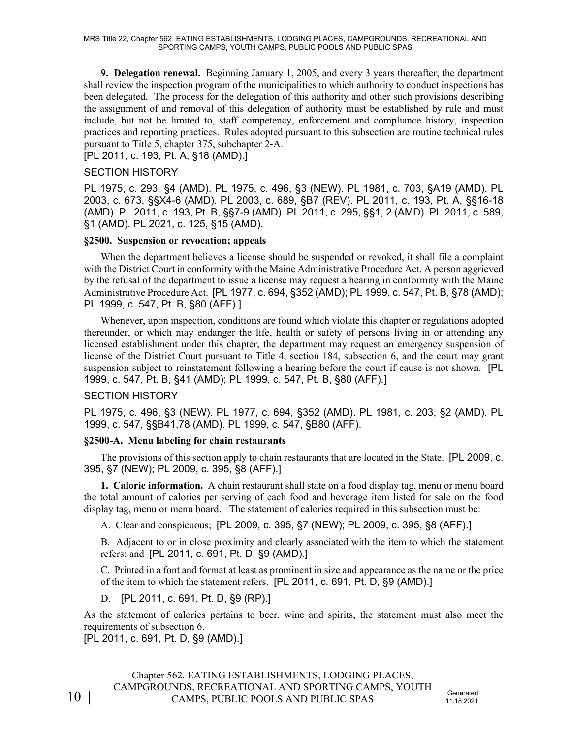**9. Delegation renewal.** Beginning January 1, 2005, and every 3 years thereafter, the department shall review the inspection program of the municipalities to which authority to conduct inspections has been delegated. The process for the delegation of this authority and other such provisions describing the assignment of and removal of this delegation of authority must be established by rule and must include, but not be limited to, staff competency, enforcement and compliance history, inspection practices and reporting practices. Rules adopted pursuant to this subsection are routine technical rules pursuant to Title 5, chapter 375, subchapter 2‑A.

[PL 2011, c. 193, Pt. A, §18 (AMD).]

### SECTION HISTORY

PL 1975, c. 293, §4 (AMD). PL 1975, c. 496, §3 (NEW). PL 1981, c. 703, §A19 (AMD). PL 2003, c. 673, §§X4-6 (AMD). PL 2003, c. 689, §B7 (REV). PL 2011, c. 193, Pt. A, §§16-18 (AMD). PL 2011, c. 193, Pt. B, §§7-9 (AMD). PL 2011, c. 295, §§1, 2 (AMD). PL 2011, c. 589, §1 (AMD). PL 2021, c. 125, §15 (AMD).

### **§2500. Suspension or revocation; appeals**

When the department believes a license should be suspended or revoked, it shall file a complaint with the District Court in conformity with the Maine Administrative Procedure Act. A person aggrieved by the refusal of the department to issue a license may request a hearing in conformity with the Maine Administrative Procedure Act. [PL 1977, c. 694, §352 (AMD); PL 1999, c. 547, Pt. B, §78 (AMD); PL 1999, c. 547, Pt. B, §80 (AFF).]

Whenever, upon inspection, conditions are found which violate this chapter or regulations adopted thereunder, or which may endanger the life, health or safety of persons living in or attending any licensed establishment under this chapter, the department may request an emergency suspension of license of the District Court pursuant to Title 4, section 184, subsection 6, and the court may grant suspension subject to reinstatement following a hearing before the court if cause is not shown. [PL 1999, c. 547, Pt. B, §41 (AMD); PL 1999, c. 547, Pt. B, §80 (AFF).]

## SECTION HISTORY

PL 1975, c. 496, §3 (NEW). PL 1977, c. 694, §352 (AMD). PL 1981, c. 203, §2 (AMD). PL 1999, c. 547, §§B41,78 (AMD). PL 1999, c. 547, §B80 (AFF).

## **§2500-A. Menu labeling for chain restaurants**

The provisions of this section apply to chain restaurants that are located in the State. [PL 2009, c. 395, §7 (NEW); PL 2009, c. 395, §8 (AFF).]

**1. Caloric information.** A chain restaurant shall state on a food display tag, menu or menu board the total amount of calories per serving of each food and beverage item listed for sale on the food display tag, menu or menu board. The statement of calories required in this subsection must be:

A. Clear and conspicuous; [PL 2009, c. 395, §7 (NEW); PL 2009, c. 395, §8 (AFF).]

B. Adjacent to or in close proximity and clearly associated with the item to which the statement refers; and [PL 2011, c. 691, Pt. D, §9 (AMD).]

C. Printed in a font and format at least as prominent in size and appearance as the name or the price of the item to which the statement refers. [PL 2011, c. 691, Pt. D, §9 (AMD).]

D. [PL 2011, c. 691, Pt. D, §9 (RP).]

As the statement of calories pertains to beer, wine and spirits, the statement must also meet the requirements of subsection 6.

[PL 2011, c. 691, Pt. D, §9 (AMD).]

10 |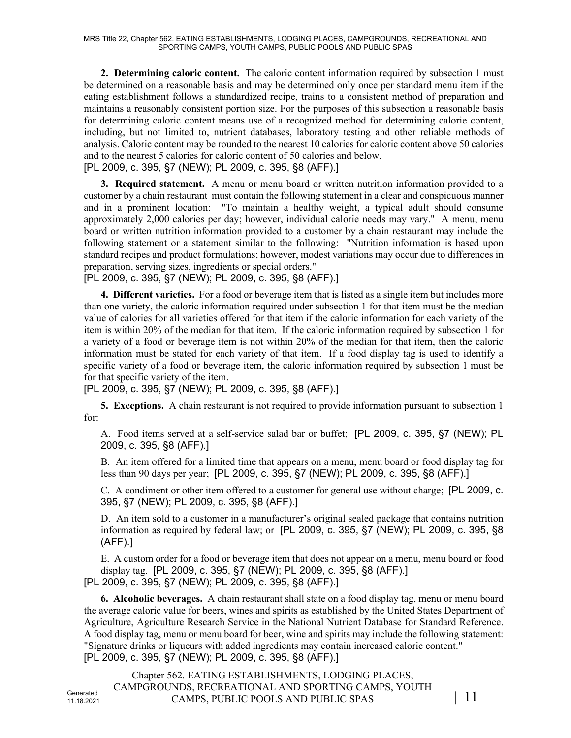**2. Determining caloric content.** The caloric content information required by subsection 1 must be determined on a reasonable basis and may be determined only once per standard menu item if the eating establishment follows a standardized recipe, trains to a consistent method of preparation and maintains a reasonably consistent portion size. For the purposes of this subsection a reasonable basis for determining caloric content means use of a recognized method for determining calorie content, including, but not limited to, nutrient databases, laboratory testing and other reliable methods of analysis. Caloric content may be rounded to the nearest 10 calories for caloric content above 50 calories and to the nearest 5 calories for caloric content of 50 calories and below.

[PL 2009, c. 395, §7 (NEW); PL 2009, c. 395, §8 (AFF).]

**3. Required statement.** A menu or menu board or written nutrition information provided to a customer by a chain restaurant must contain the following statement in a clear and conspicuous manner and in a prominent location: "To maintain a healthy weight, a typical adult should consume approximately 2,000 calories per day; however, individual calorie needs may vary." A menu, menu board or written nutrition information provided to a customer by a chain restaurant may include the following statement or a statement similar to the following: "Nutrition information is based upon standard recipes and product formulations; however, modest variations may occur due to differences in preparation, serving sizes, ingredients or special orders."

[PL 2009, c. 395, §7 (NEW); PL 2009, c. 395, §8 (AFF).]

**4. Different varieties.** For a food or beverage item that is listed as a single item but includes more than one variety, the caloric information required under subsection 1 for that item must be the median value of calories for all varieties offered for that item if the caloric information for each variety of the item is within 20% of the median for that item. If the caloric information required by subsection 1 for a variety of a food or beverage item is not within 20% of the median for that item, then the caloric information must be stated for each variety of that item. If a food display tag is used to identify a specific variety of a food or beverage item, the caloric information required by subsection 1 must be for that specific variety of the item.

[PL 2009, c. 395, §7 (NEW); PL 2009, c. 395, §8 (AFF).]

**5. Exceptions.** A chain restaurant is not required to provide information pursuant to subsection 1 for:

A. Food items served at a self-service salad bar or buffet; [PL 2009, c. 395, §7 (NEW); PL 2009, c. 395, §8 (AFF).]

B. An item offered for a limited time that appears on a menu, menu board or food display tag for less than 90 days per year; [PL 2009, c. 395, §7 (NEW); PL 2009, c. 395, §8 (AFF).]

C. A condiment or other item offered to a customer for general use without charge; [PL 2009, c. 395, §7 (NEW); PL 2009, c. 395, §8 (AFF).]

D. An item sold to a customer in a manufacturer's original sealed package that contains nutrition information as required by federal law; or [PL 2009, c. 395, §7 (NEW); PL 2009, c. 395, §8 (AFF).]

E. A custom order for a food or beverage item that does not appear on a menu, menu board or food display tag. [PL 2009, c. 395, §7 (NEW); PL 2009, c. 395, §8 (AFF).]

[PL 2009, c. 395, §7 (NEW); PL 2009, c. 395, §8 (AFF).]

**6. Alcoholic beverages.** A chain restaurant shall state on a food display tag, menu or menu board the average caloric value for beers, wines and spirits as established by the United States Department of Agriculture, Agriculture Research Service in the National Nutrient Database for Standard Reference. A food display tag, menu or menu board for beer, wine and spirits may include the following statement: "Signature drinks or liqueurs with added ingredients may contain increased caloric content." [PL 2009, c. 395, §7 (NEW); PL 2009, c. 395, §8 (AFF).]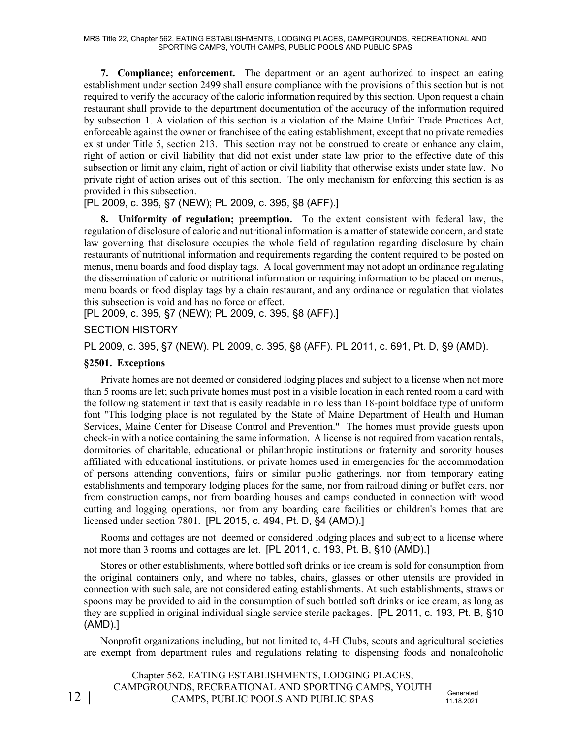**7. Compliance; enforcement.** The department or an agent authorized to inspect an eating establishment under section 2499 shall ensure compliance with the provisions of this section but is not required to verify the accuracy of the caloric information required by this section. Upon request a chain restaurant shall provide to the department documentation of the accuracy of the information required by subsection 1. A violation of this section is a violation of the Maine Unfair Trade Practices Act, enforceable against the owner or franchisee of the eating establishment, except that no private remedies exist under Title 5, section 213. This section may not be construed to create or enhance any claim, right of action or civil liability that did not exist under state law prior to the effective date of this subsection or limit any claim, right of action or civil liability that otherwise exists under state law. No private right of action arises out of this section. The only mechanism for enforcing this section is as provided in this subsection.

[PL 2009, c. 395, §7 (NEW); PL 2009, c. 395, §8 (AFF).]

**8. Uniformity of regulation; preemption.** To the extent consistent with federal law, the regulation of disclosure of caloric and nutritional information is a matter of statewide concern, and state law governing that disclosure occupies the whole field of regulation regarding disclosure by chain restaurants of nutritional information and requirements regarding the content required to be posted on menus, menu boards and food display tags. A local government may not adopt an ordinance regulating the dissemination of caloric or nutritional information or requiring information to be placed on menus, menu boards or food display tags by a chain restaurant, and any ordinance or regulation that violates this subsection is void and has no force or effect.

[PL 2009, c. 395, §7 (NEW); PL 2009, c. 395, §8 (AFF).]

## SECTION HISTORY

PL 2009, c. 395, §7 (NEW). PL 2009, c. 395, §8 (AFF). PL 2011, c. 691, Pt. D, §9 (AMD).

### **§2501. Exceptions**

Private homes are not deemed or considered lodging places and subject to a license when not more than 5 rooms are let; such private homes must post in a visible location in each rented room a card with the following statement in text that is easily readable in no less than 18-point boldface type of uniform font "This lodging place is not regulated by the State of Maine Department of Health and Human Services, Maine Center for Disease Control and Prevention." The homes must provide guests upon check-in with a notice containing the same information. A license is not required from vacation rentals, dormitories of charitable, educational or philanthropic institutions or fraternity and sorority houses affiliated with educational institutions, or private homes used in emergencies for the accommodation of persons attending conventions, fairs or similar public gatherings, nor from temporary eating establishments and temporary lodging places for the same, nor from railroad dining or buffet cars, nor from construction camps, nor from boarding houses and camps conducted in connection with wood cutting and logging operations, nor from any boarding care facilities or children's homes that are licensed under section 7801. [PL 2015, c. 494, Pt. D, §4 (AMD).]

Rooms and cottages are not deemed or considered lodging places and subject to a license where not more than 3 rooms and cottages are let. [PL 2011, c. 193, Pt. B, §10 (AMD).]

Stores or other establishments, where bottled soft drinks or ice cream is sold for consumption from the original containers only, and where no tables, chairs, glasses or other utensils are provided in connection with such sale, are not considered eating establishments. At such establishments, straws or spoons may be provided to aid in the consumption of such bottled soft drinks or ice cream, as long as they are supplied in original individual single service sterile packages. [PL 2011, c. 193, Pt. B, §10 (AMD).]

Nonprofit organizations including, but not limited to, 4-H Clubs, scouts and agricultural societies are exempt from department rules and regulations relating to dispensing foods and nonalcoholic

11.18.2021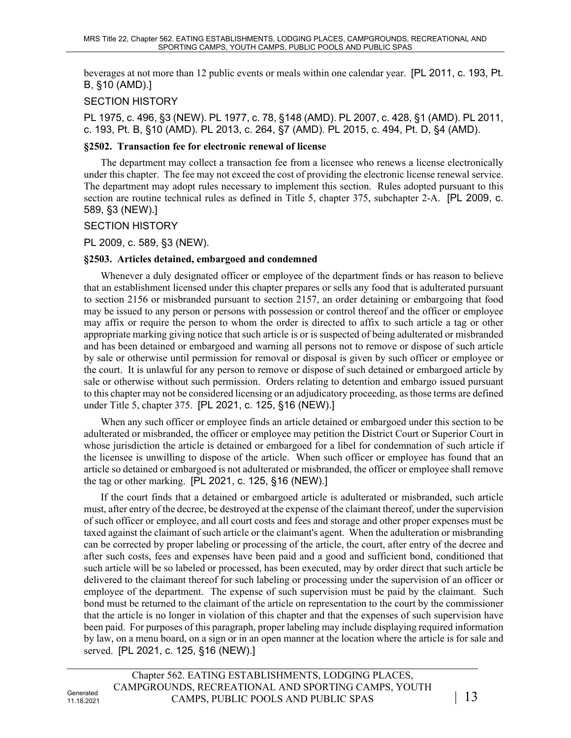beverages at not more than 12 public events or meals within one calendar year. [PL 2011, c. 193, Pt. B, §10 (AMD).]

## SECTION HISTORY

PL 1975, c. 496, §3 (NEW). PL 1977, c. 78, §148 (AMD). PL 2007, c. 428, §1 (AMD). PL 2011, c. 193, Pt. B, §10 (AMD). PL 2013, c. 264, §7 (AMD). PL 2015, c. 494, Pt. D, §4 (AMD).

#### **§2502. Transaction fee for electronic renewal of license**

The department may collect a transaction fee from a licensee who renews a license electronically under this chapter. The fee may not exceed the cost of providing the electronic license renewal service. The department may adopt rules necessary to implement this section. Rules adopted pursuant to this section are routine technical rules as defined in Title 5, chapter 375, subchapter 2-A. [PL 2009, c. 589, §3 (NEW).]

#### SECTION HISTORY

PL 2009, c. 589, §3 (NEW).

#### **§2503. Articles detained, embargoed and condemned**

Whenever a duly designated officer or employee of the department finds or has reason to believe that an establishment licensed under this chapter prepares or sells any food that is adulterated pursuant to section 2156 or misbranded pursuant to section 2157, an order detaining or embargoing that food may be issued to any person or persons with possession or control thereof and the officer or employee may affix or require the person to whom the order is directed to affix to such article a tag or other appropriate marking giving notice that such article is or is suspected of being adulterated or misbranded and has been detained or embargoed and warning all persons not to remove or dispose of such article by sale or otherwise until permission for removal or disposal is given by such officer or employee or the court. It is unlawful for any person to remove or dispose of such detained or embargoed article by sale or otherwise without such permission. Orders relating to detention and embargo issued pursuant to this chapter may not be considered licensing or an adjudicatory proceeding, as those terms are defined under Title 5, chapter 375. [PL 2021, c. 125, §16 (NEW).]

When any such officer or employee finds an article detained or embargoed under this section to be adulterated or misbranded, the officer or employee may petition the District Court or Superior Court in whose jurisdiction the article is detained or embargoed for a libel for condemnation of such article if the licensee is unwilling to dispose of the article. When such officer or employee has found that an article so detained or embargoed is not adulterated or misbranded, the officer or employee shall remove the tag or other marking. [PL 2021, c. 125, §16 (NEW).]

If the court finds that a detained or embargoed article is adulterated or misbranded, such article must, after entry of the decree, be destroyed at the expense of the claimant thereof, under the supervision of such officer or employee, and all court costs and fees and storage and other proper expenses must be taxed against the claimant of such article or the claimant's agent. When the adulteration or misbranding can be corrected by proper labeling or processing of the article, the court, after entry of the decree and after such costs, fees and expenses have been paid and a good and sufficient bond, conditioned that such article will be so labeled or processed, has been executed, may by order direct that such article be delivered to the claimant thereof for such labeling or processing under the supervision of an officer or employee of the department. The expense of such supervision must be paid by the claimant. Such bond must be returned to the claimant of the article on representation to the court by the commissioner that the article is no longer in violation of this chapter and that the expenses of such supervision have been paid. For purposes of this paragraph, proper labeling may include displaying required information by law, on a menu board, on a sign or in an open manner at the location where the article is for sale and served. [PL 2021, c. 125, §16 (NEW).]